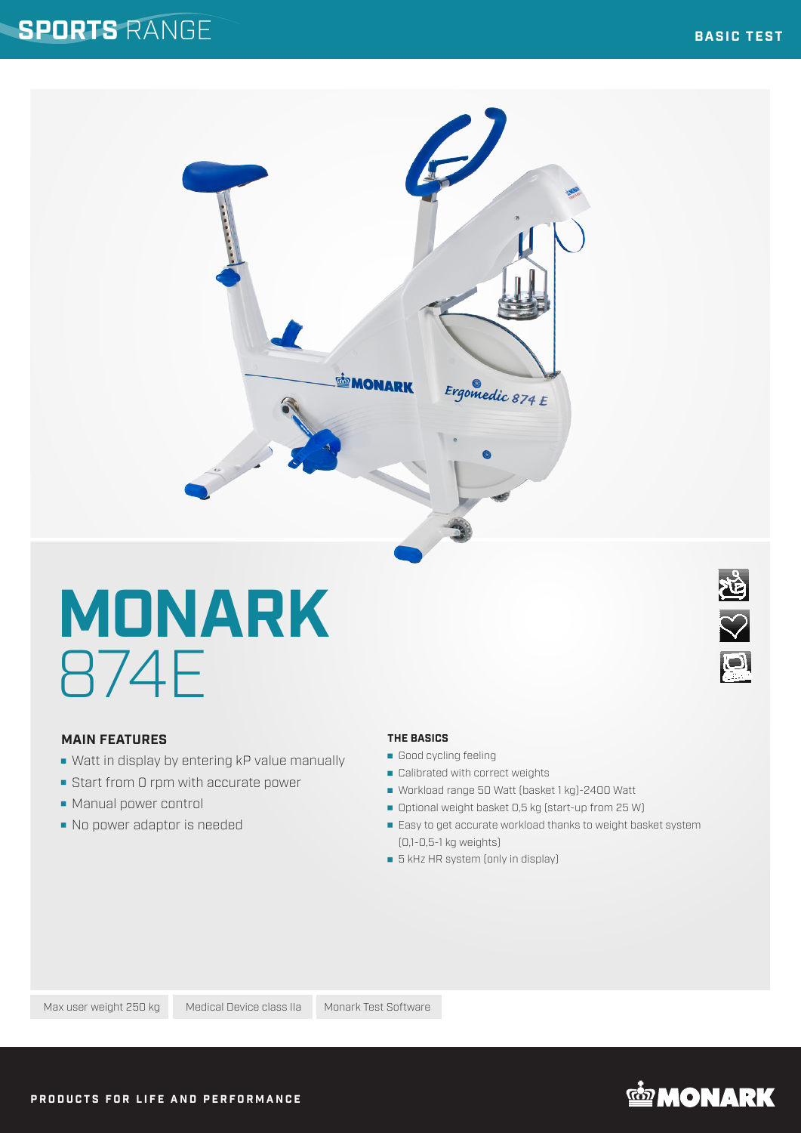### **SPORTS** RANGE



# **MONARK** 874E

### **MAIN FEATURES**

- Watt in display by entering kP value manually
- Start from 0 rpm with accurate power
- Manual power control
- No power adaptor is needed

### **THE BASICS**

- Good cycling feeling
- Calibrated with correct weights
- Workload range 50 Watt (basket 1 kg)-2400 Watt
- Optional weight basket 0,5 kg (start-up from 25 W)
- **Easy to get accurate workload thanks to weight basket system** (0,1-0,5-1 kg weights)
- **5** kHz HR system (only in display)



Max user weight 250 kg Medical Device class IIa Monark Test Software